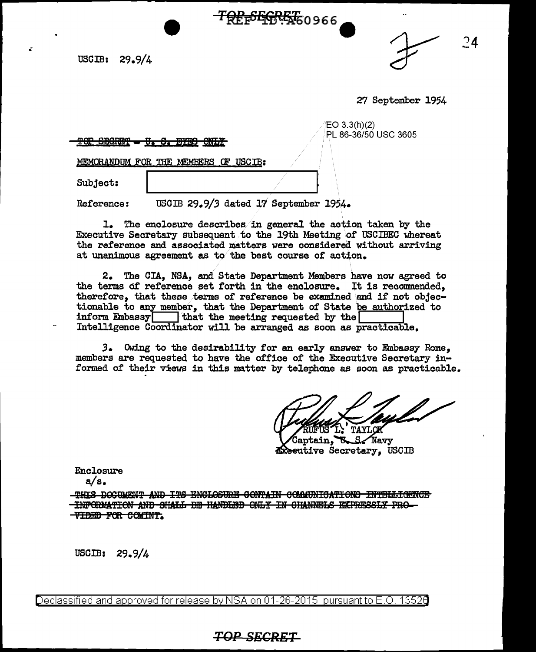USGIB: 29.9/4

 $\overline{24}$ 

27 September 1954

| $E$ O 3.3(h)(2)      |  |
|----------------------|--|
| PL 86-36/50 USC 3605 |  |

TOP SECRET - U. S. BYEO ONLY

MEMORANDUM FOR THE MEMBERS OF USCIB:

Subject:

USCIB 29.9/3 dated 17 September 1954. Reference:

1. The enclosure describes in general the action taken by the Executive Secretary subsequent to the 19th Meeting of USCIBEC whereat the reference and associated matters were considered without arriving at unanimous agreement as to the best course of action.

<del>TOPLSEGRET</del>60966

2. The CIA, NSA, and State Department Members have now agreed to the terms of reference set forth in the enclosure. It is recommended. therefore, that these terms of reference be examined and if not objectionable to any member, that the Department of State be authorized to inform Embassy that the meeting requested by the Intelligence Coordinator will be arranged as soon as practicable.

3. Owing to the desirability for an early answer to Embassy Rome. members are requested to have the office of the Executive Secretary informed of their views in this matter by telephone as soon as practicable.

.<br>Gaotain,  $S$  Navy ጜ **Executive Secretary, USCIB** 

Enclosure

 $a/s.$ 

-THIS DOCUMENT AND ITS ENGLOSURE CONTAIN COMMUNICATIONS INTELLIGENCE THFORMATION AND SHALL BE HANDLED ONLY IN CHANNELS EXPRESSLY PRO-**TIDED FOR COMINT.** 

USCIB:  $29.9/4$ 

<u>Declassified and approved for release by NSA on 01-26-2015 pursuant to E.O. 13526</u>

## **TOP SECRET**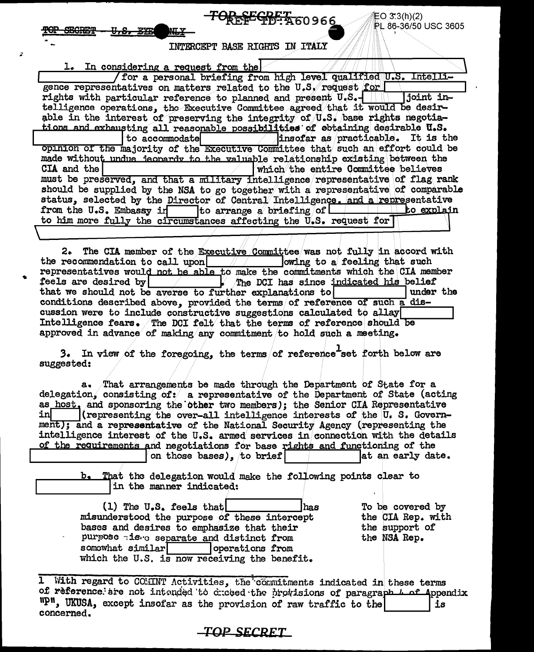$EQ$  3.3(h)(2) PL 86-36/50 USC 3605

INTERCEPT BASE RIGHTS IN ITALY

| 1. In considering a request from the                                             |  |  |  |  |
|----------------------------------------------------------------------------------|--|--|--|--|
| for a personal briefing from high level qualified U.S. Intelli-                  |  |  |  |  |
| gence representatives on matters related to the U.S. request for                 |  |  |  |  |
|                                                                                  |  |  |  |  |
| telligence operations, the Executive Committee agreed that it would be desir-    |  |  |  |  |
| able in the interest of preserving the integrity of U.S. base rights negotia-    |  |  |  |  |
| tions and exhausting all reasonable possibilities of obtaining desirable U.S.    |  |  |  |  |
| to accommodate $\Box$ insofar as practicable. It is the                          |  |  |  |  |
| opinion of the majority of the Executive Committee that such an effort could be  |  |  |  |  |
| made without undue jeonardy to the valuable relationship existing between the    |  |  |  |  |
| CIA and the I<br>which the entire Committee believes                             |  |  |  |  |
| must be preserved, and that a military intelligence representative of flag rank  |  |  |  |  |
| should be supplied by the NSA to go together with a representative of comparable |  |  |  |  |
| status, selected by the Director of Central Intelligence. and a representative   |  |  |  |  |
| from the U.S. Embassy in to arrange a briefing of the straight to explain        |  |  |  |  |
| to him more fully the circumstances affecting the U.S. request for               |  |  |  |  |
|                                                                                  |  |  |  |  |

The CIA member of the Executive Committee was not fully in accord with 2. the recommendation to call upon owing to a feeling that such representatives would not be able to make the commitments which the CIA member feels are desired by The DCI has since indicated his belief that we should not be averse to further explanations to under the conditions described above, provided the terms of reference of such a discussion were to include constructive suggestions calculated to allay Intelligence fears. The DCI felt that the terms of reference should be approved in advance of making any commitment to hold such a meeting.

3. In view of the foregoing, the terms of reference set forth below are suggested:

a. That arrangements be made through the Department of State for a delegation, consisting of: a representative of the Department of State (acting as host, and sponsoring the other two members); the Senior CIA Representative inl (representing the over-all intelligence interests of the U.S. Government); and a representative of the National Security Agency (representing the intelligence interest of the U.S. armed services in connection with the details of the requirements and negotiations for base rights and functioning of the

on those bases), to brief lat an early date.

That the delegation would make the following points clear to in the manner indicated:

(1) The U.S. feels that has misunderstood the purpose of these intercept bases and desires to emphasize that their purpose tiste separate and distinct from somewhat similar operations from which the U.S. is now receiving the benefit.

To be covered by the CIA Rep. with the support of the NSA Rep.

With regard to COMINT Activities, the commitments indicated in these terms  $\mathbf{1}$ of reference are not intended to crosed the provisions of paragraph L of Appendix "P", UKUSA, except insofar as the provision of raw traffic to the is concerned.

## TOP SECRET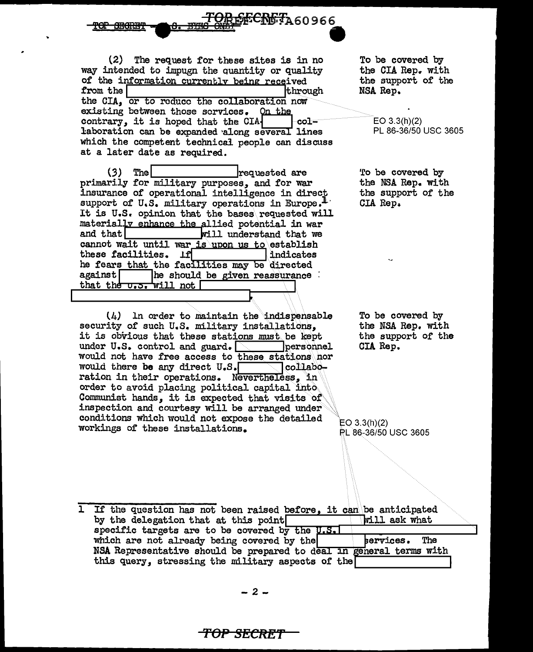<del>SECRET</del>A60966

 $(2)$ The request for these sites is in no way intended to impugn the quantity or quality of the information currently being received from the through the CIA, or to reduce the collaboration now existing between those scrvices. On the contrary, it is hoped that the CIA -col laboration can be expanded along several lines which the competent technical people can discuss at a later date as required.

The  $(3)$ requested are primarily for military purposes, and for war insurance of operational intelligence in direct support of U.S. military operations in Europe.<sup>1</sup> It is U.S. opinion that the bases requested will materially enhance the allied potential in war and that will understand that we cannot wait until war is upon us to establish these facilities. If indicates he fears that the facilities may be directed against| he should be given reassurance : that the u.s. will not

In order to maintain the indispensable  $(4)$ security of such U.S. military installations, it is obvious that these stations must be kept under U.S. control and guard. personnel would not have free access to these stations hor would there be any direct U.S. |collaboration in their operations. Nevertheless, in order to avoid placing political capital into. Communist hands, it is expected that visits of inspection and courtesy will be arranged under conditions which would not expose the detailed workings of these installations.

To be covered by the CIA Rep. with the support of the NSA Rep.

 $EO 3.3(h)(2)$ PL 86-36/50 USC 3605

To be covered by the NSA Rep. with the support of the CIA Rep.

To be covered by the NSA Rep. with the support of the CIA Rep.

 $EO 3.3(h)(2)$ PL 86-36/50 USC 3605

1 If the question has not been raised before, it can be anticipated by the delegation that at this point **Will ask what** specific targets are to be covered by the U.S. which are not already being covered by the bervices. The NSA Representative should be prepared to deal in general terms with this query, stressing the military aspects of the

<del>TOP SECRET</del>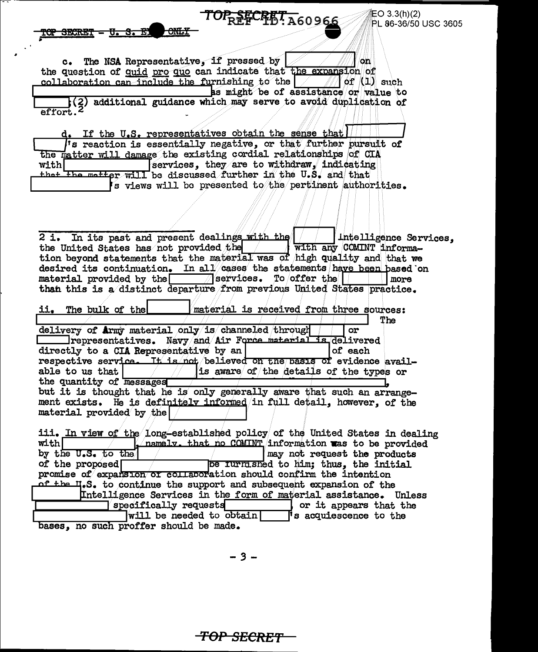**汇〇 3.3(h)(2)** PL 86-36/50 USC 3605

## TOP SECRET A60966

The NSA Representative, if pressed by on  $C_{\bullet}$ the question of quid pro quo can indicate that the expansion of collaboration can include the furnishing to the of  $(1)$  such as might be of assistance or value to

<del>LONG 1</del>

<del>MY SECRET</del>

additional guidance which may serve to avoid duplication of effort.

d. If the U.S. representatives obtain the sense that 's reaction is essentially negative, or that further pursuit of the matter will damage the existing cordial relationships of CIA  $\lceil$ services, they are to withdraw. indicating with! that the matter will be discussed further in the U.S. and that is views will be presented to the pertinent authorities.

Intelligence Services, 2 i. In its past and present dealings with the the United States has not provided the with any COMINT informathe United States has not provided the state with any COMINT informa-<br>tion beyond statements that the material was of high quality and that we desired its continuation. In all  $\sqrt{a}$  ses the statements have been based on  $\sqrt{\pi}$ services. To offer the  $\lceil$ material provided by the more than this is a distinct departure from previous United States practice.

The bulk of the material is received from three sources: ij, The delivery of Army material only is channeled through or **Example 21 For Service Service Service Service Service Service Service Service Service Service Service Service Service Service Service Service Service Service Service Service Service Service Service Service Service Servic** directly to a CIA Representative by an of each respective service. It is not believed on the basis of evidence availis aware of the details of the types or able to us that the quantity of messages but it is thought that he is only generally aware that such an arrangement exists. He is definitely informed in full detail, however, of the material provided by the

iii. In view of the long-established policy of the United States in dealing mamely. that no COMINT information was to be provided  $with$ may not request the products by the U.S. to the be rurnished to him; thus, the initial of the proposed  $\Gamma$ promise of expansion or collaboration should confirm the intention of the H.S. to continue the support and subsequent expansion of the Intelligence Services in the form of material assistance. Unless specifically requests or it appears that the  $will$  be needed to obtain I's acquiescence to the bases, no such proffer should be made.

. 3 -

<del>TOP SECRET</del>